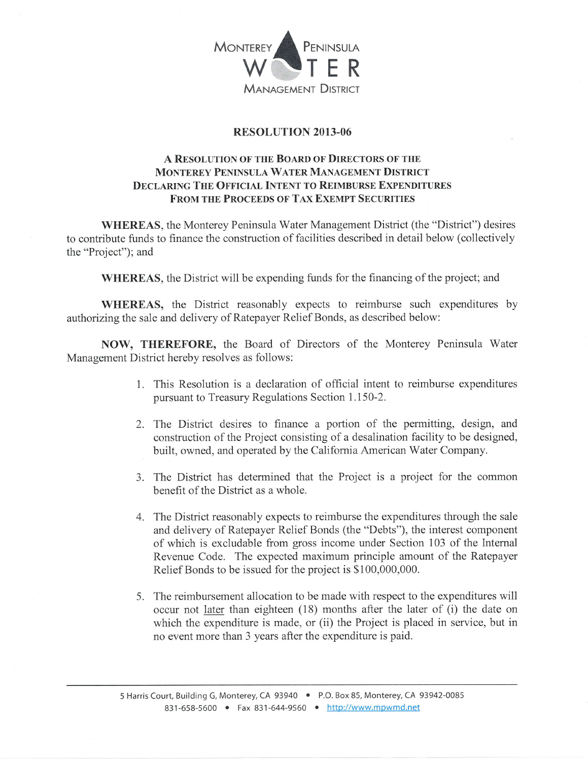

## RESOLUTION 2013-06

## A RESOLUTION OF THE BOARD OF DIRECTORS OF THE MONTEREY PENINSULA WATER MANAGEMENT DISTRICT DECLARING THE OFFICIAL INTENT TO REIMBURSE EXPENDITURES FROM THE PROCEEDS OF TAX EXEMPT SECURITIES

WHEREAS, the Monterey Peninsula Water Management District (the "District") desires to contribute funds to finance the construction of facilities described in detail below (collectively the "Project"); and

WHEREAS, the District will be expending funds for the financing of the project; and

WHEREAS, the District reasonably expects to reimburse such expenditures by authorizing the sale and delivery of Ratepayer Relief Bonds, as described below:

NOW, THEREFORE, the Board of Directors of the Monterey Peninsula Water Management District hereby resolves as follows:

- 1. This Resolution is a declaration of official intent to reimburse expenditures pursuant to Treasury Regulations Section I.150-2.
- 2. The District desires to finance a portion of the permitting, design, and construction of the Project consisting of a desalination facility to be designed, built, owned, and operated by the California American Water Company.
- 3. The District has determined that the Project is a project for the common benefit of the District as a whole.
- The District reasonably expects to reimburse the expenditures through the sale 4. and delivery of Ratepayer Relief Bonds (the "Debts"), the interest component of which is excludable from gross income under Section 103 of the Internal Revenue Code. The expected maximum principle amount of the Ratepayer Relief Bonds to be issued for the project is \$100,000,000.
- 5. The reimbursement allocation to be made with respect to the expenditures will occur not later than eighteen (18) months after the later of (i) the date on which the expenditure is made, or (ii) the Project is placed in service, but in no event more than 3 years after the expenditure is paid.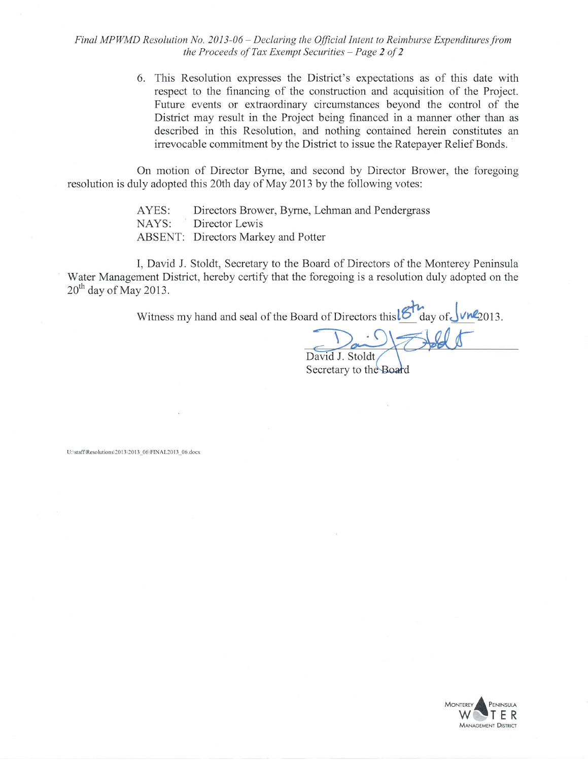Final MPWMD Resolution No. 2013-06 – Declaring the Official Intent to Reimburse Expenditures from the Proceeds of Tax Exempt Securities  $-$  Page 2 of 2

> 6. This Resolution expresses the District's expectations as of this date with respect to the financing of the construction and acquisition of the Project. Future events or extraordinary circumstances beyond the control of the District may result in the Project being financed in a manner other than as described in this Resolution, and nothing contained herein constitutes an irrevocable commitment by the District to issue the Ratepayer Relief Bonds.

On motion of Director Byme, and second by Director Brower, the foregoing resolution is duly adopted this 20th day of May 2013 by the following votes:

> AYES: Directors Brower, Byme, Lehman and Pendergrass AYES: Directors Brow<br>NAYS: Director Lewis ABSENT: Directors Markey and Potter

I, David J. Stoldt, Secretary to the Board of Directors of the Monterey Peninsula Water Management District, hereby certify that the foregoing is a resolution duly adopted on the  $20<sup>th</sup>$  day of May 2013.

Witness my hand and seal of the Board of Directors this  $\mathcal{E}_{\text{day of}}^{\text{max}}$  of  $\sqrt{\text{max}}_{2013}$ .

David J. Stoldt Secretary to the Board

U:\stafflResolutions\2O13\2013 06\FINAL2013 06.docx